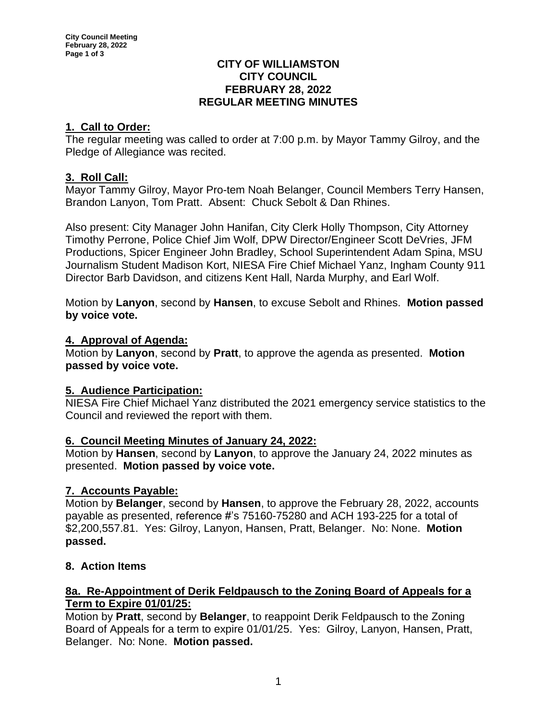#### **CITY OF WILLIAMSTON CITY COUNCIL FEBRUARY 28, 2022 REGULAR MEETING MINUTES**

# **1. Call to Order:**

The regular meeting was called to order at 7:00 p.m. by Mayor Tammy Gilroy, and the Pledge of Allegiance was recited.

### **3. Roll Call:**

Mayor Tammy Gilroy, Mayor Pro-tem Noah Belanger, Council Members Terry Hansen, Brandon Lanyon, Tom Pratt. Absent: Chuck Sebolt & Dan Rhines.

Also present: City Manager John Hanifan, City Clerk Holly Thompson, City Attorney Timothy Perrone, Police Chief Jim Wolf, DPW Director/Engineer Scott DeVries, JFM Productions, Spicer Engineer John Bradley, School Superintendent Adam Spina, MSU Journalism Student Madison Kort, NIESA Fire Chief Michael Yanz, Ingham County 911 Director Barb Davidson, and citizens Kent Hall, Narda Murphy, and Earl Wolf.

Motion by **Lanyon**, second by **Hansen**, to excuse Sebolt and Rhines. **Motion passed by voice vote.**

#### **4. Approval of Agenda:**

Motion by **Lanyon**, second by **Pratt**, to approve the agenda as presented. **Motion passed by voice vote.**

#### **5. Audience Participation:**

NIESA Fire Chief Michael Yanz distributed the 2021 emergency service statistics to the Council and reviewed the report with them.

#### **6. Council Meeting Minutes of January 24, 2022:**

Motion by **Hansen**, second by **Lanyon**, to approve the January 24, 2022 minutes as presented. **Motion passed by voice vote.**

# **7. Accounts Payable:**

Motion by **Belanger**, second by **Hansen**, to approve the February 28, 2022, accounts payable as presented, reference #'s 75160-75280 and ACH 193-225 for a total of \$2,200,557.81. Yes: Gilroy, Lanyon, Hansen, Pratt, Belanger. No: None. **Motion passed.**

# **8. Action Items**

### **8a. Re-Appointment of Derik Feldpausch to the Zoning Board of Appeals for a Term to Expire 01/01/25:**

Motion by **Pratt**, second by **Belanger**, to reappoint Derik Feldpausch to the Zoning Board of Appeals for a term to expire 01/01/25. Yes: Gilroy, Lanyon, Hansen, Pratt, Belanger. No: None. **Motion passed.**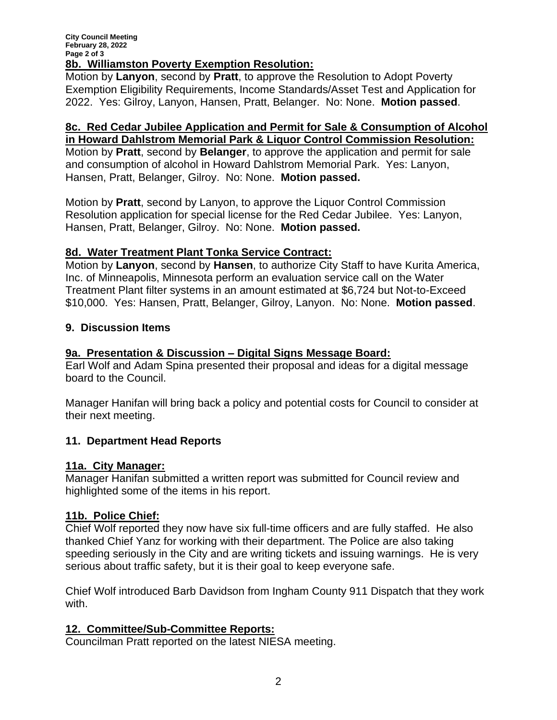### **8b. Williamston Poverty Exemption Resolution:**

Motion by **Lanyon**, second by **Pratt**, to approve the Resolution to Adopt Poverty Exemption Eligibility Requirements, Income Standards/Asset Test and Application for 2022. Yes: Gilroy, Lanyon, Hansen, Pratt, Belanger. No: None. **Motion passed**.

# **8c. Red Cedar Jubilee Application and Permit for Sale & Consumption of Alcohol in Howard Dahlstrom Memorial Park & Liquor Control Commission Resolution:**

Motion by **Pratt**, second by **Belanger**, to approve the application and permit for sale and consumption of alcohol in Howard Dahlstrom Memorial Park. Yes: Lanyon, Hansen, Pratt, Belanger, Gilroy. No: None. **Motion passed.**

Motion by **Pratt**, second by Lanyon, to approve the Liquor Control Commission Resolution application for special license for the Red Cedar Jubilee. Yes: Lanyon, Hansen, Pratt, Belanger, Gilroy. No: None. **Motion passed.**

# **8d. Water Treatment Plant Tonka Service Contract:**

Motion by **Lanyon**, second by **Hansen**, to authorize City Staff to have Kurita America, Inc. of Minneapolis, Minnesota perform an evaluation service call on the Water Treatment Plant filter systems in an amount estimated at \$6,724 but Not-to-Exceed \$10,000. Yes: Hansen, Pratt, Belanger, Gilroy, Lanyon. No: None. **Motion passed**.

### **9. Discussion Items**

# **9a. Presentation & Discussion – Digital Signs Message Board:**

Earl Wolf and Adam Spina presented their proposal and ideas for a digital message board to the Council.

Manager Hanifan will bring back a policy and potential costs for Council to consider at their next meeting.

# **11. Department Head Reports**

#### **11a. City Manager:**

Manager Hanifan submitted a written report was submitted for Council review and highlighted some of the items in his report.

# **11b. Police Chief:**

Chief Wolf reported they now have six full-time officers and are fully staffed. He also thanked Chief Yanz for working with their department. The Police are also taking speeding seriously in the City and are writing tickets and issuing warnings. He is very serious about traffic safety, but it is their goal to keep everyone safe.

Chief Wolf introduced Barb Davidson from Ingham County 911 Dispatch that they work with.

# **12. Committee/Sub-Committee Reports:**

Councilman Pratt reported on the latest NIESA meeting.